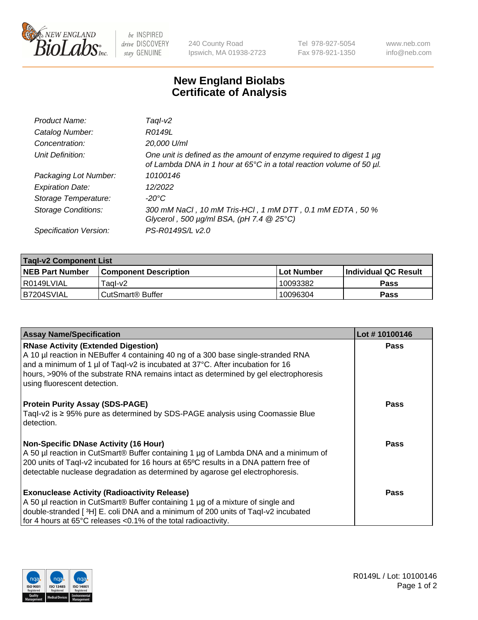

 $be$  INSPIRED drive DISCOVERY stay GENUINE

240 County Road Ipswich, MA 01938-2723 Tel 978-927-5054 Fax 978-921-1350 www.neb.com info@neb.com

## **New England Biolabs Certificate of Analysis**

| Product Name:              | Tagl-v2                                                                                                                                     |
|----------------------------|---------------------------------------------------------------------------------------------------------------------------------------------|
| Catalog Number:            | R0149L                                                                                                                                      |
| Concentration:             | 20,000 U/ml                                                                                                                                 |
| Unit Definition:           | One unit is defined as the amount of enzyme required to digest 1 µg<br>of Lambda DNA in 1 hour at 65°C in a total reaction volume of 50 µl. |
| Packaging Lot Number:      | 10100146                                                                                                                                    |
| <b>Expiration Date:</b>    | 12/2022                                                                                                                                     |
| Storage Temperature:       | $-20^{\circ}$ C                                                                                                                             |
| <b>Storage Conditions:</b> | 300 mM NaCl, 10 mM Tris-HCl, 1 mM DTT, 0.1 mM EDTA, 50 %<br>Glycerol, 500 $\mu$ g/ml BSA, (pH 7.4 $@25°C$ )                                 |
| Specification Version:     | PS-R0149S/L v2.0                                                                                                                            |

| <b>Tagl-v2 Component List</b> |                              |             |                             |  |  |
|-------------------------------|------------------------------|-------------|-----------------------------|--|--|
| <b>NEB Part Number</b>        | <b>Component Description</b> | ⊺Lot Number | <b>Individual QC Result</b> |  |  |
| I R0149LVIAL                  | Tagl-v2                      | 10093382    | Pass                        |  |  |
| IB7204SVIAL                   | CutSmart <sup>®</sup> Buffer | 10096304    | <b>Pass</b>                 |  |  |

| <b>Assay Name/Specification</b>                                                                                                                                                                                                                                                                                                           | Lot #10100146 |
|-------------------------------------------------------------------------------------------------------------------------------------------------------------------------------------------------------------------------------------------------------------------------------------------------------------------------------------------|---------------|
| <b>RNase Activity (Extended Digestion)</b><br>A 10 µl reaction in NEBuffer 4 containing 40 ng of a 300 base single-stranded RNA<br>and a minimum of 1 µl of Taql-v2 is incubated at 37°C. After incubation for 16<br>hours, >90% of the substrate RNA remains intact as determined by gel electrophoresis<br>using fluorescent detection. | Pass          |
| <b>Protein Purity Assay (SDS-PAGE)</b><br>Taql-v2 is $\geq$ 95% pure as determined by SDS-PAGE analysis using Coomassie Blue<br>detection.                                                                                                                                                                                                | Pass          |
| <b>Non-Specific DNase Activity (16 Hour)</b><br>A 50 µl reaction in CutSmart® Buffer containing 1 µg of Lambda DNA and a minimum of<br>200 units of Taql-v2 incubated for 16 hours at 65°C results in a DNA pattern free of<br>detectable nuclease degradation as determined by agarose gel electrophoresis.                              | <b>Pass</b>   |
| <b>Exonuclease Activity (Radioactivity Release)</b><br>A 50 µl reaction in CutSmart® Buffer containing 1 µg of a mixture of single and<br>double-stranded [3H] E. coli DNA and a minimum of 200 units of Taql-v2 incubated<br>for 4 hours at 65°C releases <0.1% of the total radioactivity.                                              | Pass          |